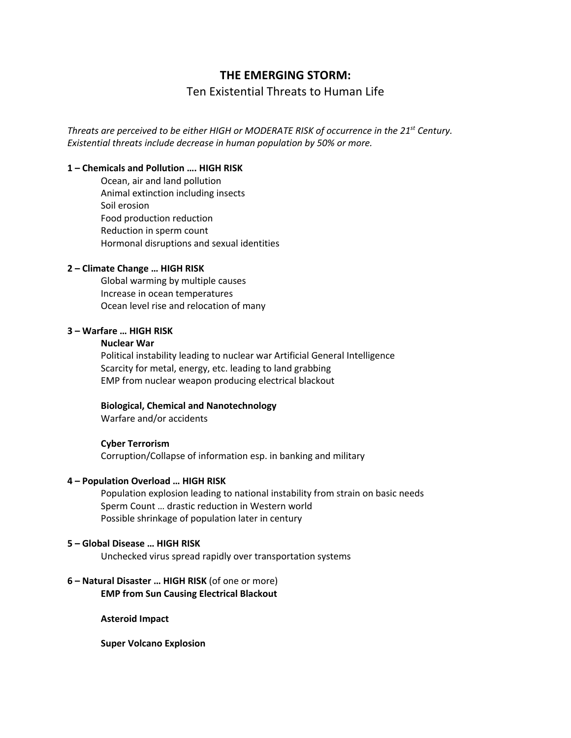# **THE EMERGING STORM:**

# Ten Existential Threats to Human Life

*Threats are perceived to be either HIGH or MODERATE RISK of occurrence in the 21st Century. Existential threats include decrease in human population by 50% or more.* 

## **1 – Chemicals and Pollution …. HIGH RISK**

Ocean, air and land pollution Animal extinction including insects Soil erosion Food production reduction Reduction in sperm count Hormonal disruptions and sexual identities

### **2 – Climate Change … HIGH RISK**

Global warming by multiple causes Increase in ocean temperatures Ocean level rise and relocation of many

### **3 – Warfare … HIGH RISK**

# **Nuclear War**

Political instability leading to nuclear war Artificial General Intelligence Scarcity for metal, energy, etc. leading to land grabbing EMP from nuclear weapon producing electrical blackout

#### **Biological, Chemical and Nanotechnology**

Warfare and/or accidents

#### **Cyber Terrorism**

Corruption/Collapse of information esp. in banking and military

### **4 – Population Overload … HIGH RISK**

Population explosion leading to national instability from strain on basic needs Sperm Count … drastic reduction in Western world Possible shrinkage of population later in century

### **5 – Global Disease … HIGH RISK**

Unchecked virus spread rapidly over transportation systems

# **6 – Natural Disaster … HIGH RISK** (of one or more) **EMP from Sun Causing Electrical Blackout**

**Asteroid Impact**

**Super Volcano Explosion**